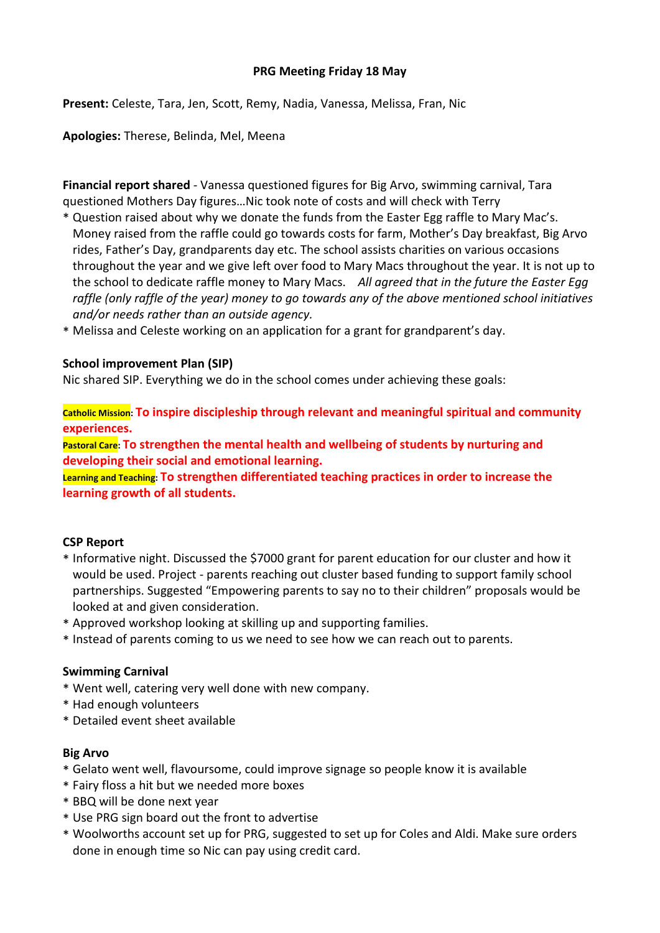## **PRG Meeting Friday 18 May**

**Present:** Celeste, Tara, Jen, Scott, Remy, Nadia, Vanessa, Melissa, Fran, Nic

**Apologies:** Therese, Belinda, Mel, Meena

**Financial report shared** - Vanessa questioned figures for Big Arvo, swimming carnival, Tara questioned Mothers Day figures…Nic took note of costs and will check with Terry

- \* Question raised about why we donate the funds from the Easter Egg raffle to Mary Mac's. Money raised from the raffle could go towards costs for farm, Mother's Day breakfast, Big Arvo rides, Father's Day, grandparents day etc. The school assists charities on various occasions throughout the year and we give left over food to Mary Macs throughout the year. It is not up to the school to dedicate raffle money to Mary Macs. *All agreed that in the future the Easter Egg raffle (only raffle of the year) money to go towards any of the above mentioned school initiatives and/or needs rather than an outside agency.*
- \* Melissa and Celeste working on an application for a grant for grandparent's day.

## **School improvement Plan (SIP)**

Nic shared SIP. Everything we do in the school comes under achieving these goals:

**Catholic Mission: To inspire discipleship through relevant and meaningful spiritual and community experiences.**

**Pastoral Care: To strengthen the mental health and wellbeing of students by nurturing and developing their social and emotional learning.**

**Learning and Teaching: To strengthen differentiated teaching practices in order to increase the learning growth of all students.**

# **CSP Report**

- \* Informative night. Discussed the \$7000 grant for parent education for our cluster and how it would be used. Project - parents reaching out cluster based funding to support family school partnerships. Suggested "Empowering parents to say no to their children" proposals would be looked at and given consideration.
- \* Approved workshop looking at skilling up and supporting families.
- \* Instead of parents coming to us we need to see how we can reach out to parents.

#### **Swimming Carnival**

- \* Went well, catering very well done with new company.
- \* Had enough volunteers
- \* Detailed event sheet available

# **Big Arvo**

- \* Gelato went well, flavoursome, could improve signage so people know it is available
- \* Fairy floss a hit but we needed more boxes
- \* BBQ will be done next year
- \* Use PRG sign board out the front to advertise
- \* Woolworths account set up for PRG, suggested to set up for Coles and Aldi. Make sure orders done in enough time so Nic can pay using credit card.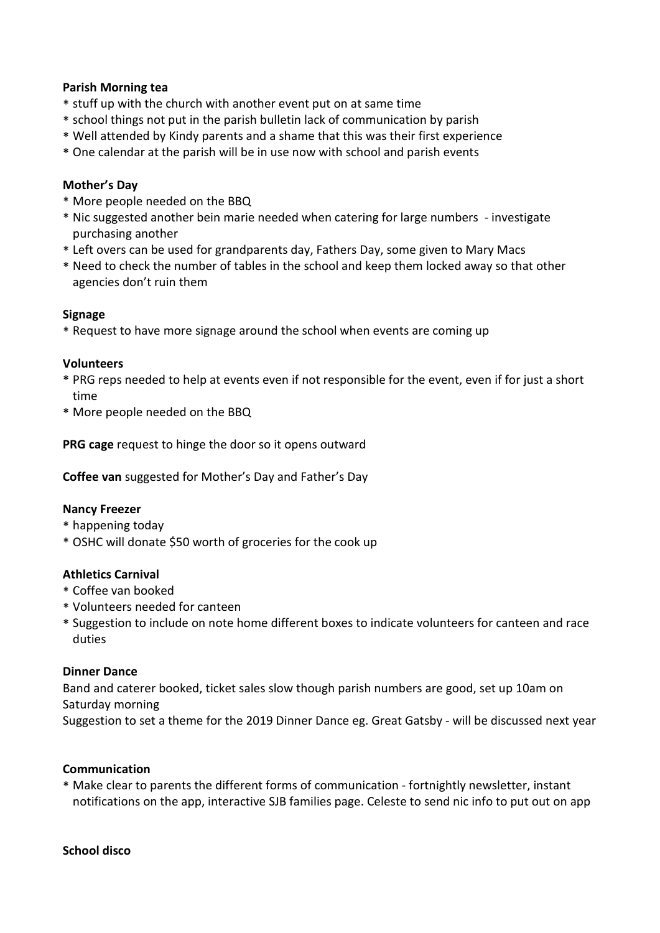### **Parish Morning tea**

- \* stuff up with the church with another event put on at same time
- \* school things not put in the parish bulletin lack of communication by parish
- \* Well attended by Kindy parents and a shame that this was their first experience
- \* One calendar at the parish will be in use now with school and parish events

## **Mother's Day**

- \* More people needed on the BBQ
- \* Nic suggested another bein marie needed when catering for large numbers investigate purchasing another
- \* Left overs can be used for grandparents day, Fathers Day, some given to Mary Macs
- \* Need to check the number of tables in the school and keep them locked away so that other agencies don't ruin them

#### **Signage**

\* Request to have more signage around the school when events are coming up

#### **Volunteers**

- \* PRG reps needed to help at events even if not responsible for the event, even if for just a short time
- \* More people needed on the BBQ

**PRG cage** request to hinge the door so it opens outward

**Coffee van** suggested for Mother's Day and Father's Day

#### **Nancy Freezer**

- \* happening today
- \* OSHC will donate \$50 worth of groceries for the cook up

#### **Athletics Carnival**

- \* Coffee van booked
- \* Volunteers needed for canteen
- \* Suggestion to include on note home different boxes to indicate volunteers for canteen and race duties

#### **Dinner Dance**

Band and caterer booked, ticket sales slow though parish numbers are good, set up 10am on Saturday morning

Suggestion to set a theme for the 2019 Dinner Dance eg. Great Gatsby - will be discussed next year

#### **Communication**

\* Make clear to parents the different forms of communication - fortnightly newsletter, instant notifications on the app, interactive SJB families page. Celeste to send nic info to put out on app

#### **School disco**